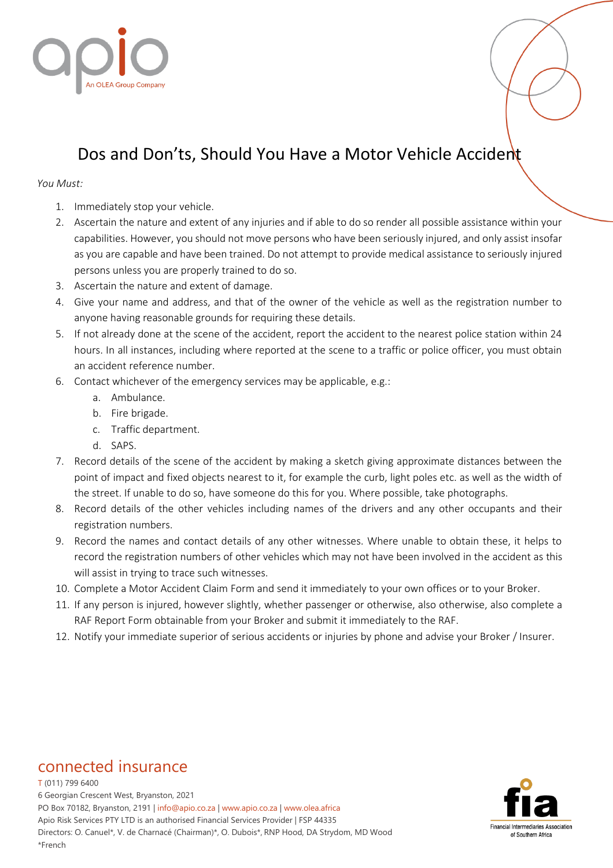

## Dos and Don'ts, Should You Have a Motor Vehicle Accident

## *You Must:*

- 1. Immediately stop your vehicle.
- 2. Ascertain the nature and extent of any injuries and if able to do so render all possible assistance within your capabilities. However, you should not move persons who have been seriously injured, and only assist insofar as you are capable and have been trained. Do not attempt to provide medical assistance to seriously injured persons unless you are properly trained to do so.
- 3. Ascertain the nature and extent of damage.
- 4. Give your name and address, and that of the owner of the vehicle as well as the registration number to anyone having reasonable grounds for requiring these details.
- 5. If not already done at the scene of the accident, report the accident to the nearest police station within 24 hours. In all instances, including where reported at the scene to a traffic or police officer, you must obtain an accident reference number.
- 6. Contact whichever of the emergency services may be applicable, e.g.:
	- a. Ambulance.
	- b. Fire brigade.
	- c. Traffic department.
	- d. SAPS.
- 7. Record details of the scene of the accident by making a sketch giving approximate distances between the point of impact and fixed objects nearest to it, for example the curb, light poles etc. as well as the width of the street. If unable to do so, have someone do this for you. Where possible, take photographs.
- 8. Record details of the other vehicles including names of the drivers and any other occupants and their registration numbers.
- 9. Record the names and contact details of any other witnesses. Where unable to obtain these, it helps to record the registration numbers of other vehicles which may not have been involved in the accident as this will assist in trying to trace such witnesses.
- 10. Complete a Motor Accident Claim Form and send it immediately to your own offices or to your Broker.
- 11. If any person is injured, however slightly, whether passenger or otherwise, also otherwise, also complete a RAF Report Form obtainable from your Broker and submit it immediately to the RAF.
- 12. Notify your immediate superior of serious accidents or injuries by phone and advise your Broker / Insurer.

## connected insurance

T (011) 799 6400 6 Georgian Crescent West, Bryanston, 2021 PO Box 70182, Bryanston, 2191 | info@apio.co.za | [www.apio.co.za](http://www.apio.co.za/) | www.olea.africa Apio Risk Services PTY LTD is an authorised Financial Services Provider | FSP 44335 Directors: O. Canuel\*, V. de Charnacé (Chairman)\*, O. Dubois\*, RNP Hood, DA Strydom, MD Wood \*French